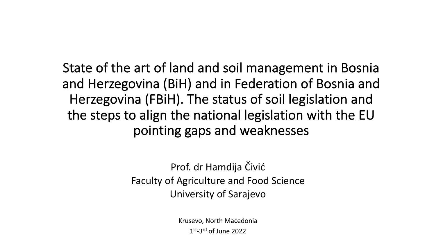State of the art of land and soil management in Bosnia and Herzegovina (BiH) and in Federation of Bosnia and Herzegovina (FBiH). The status of soil legislation and the steps to align the national legislation with the EU pointing gaps and weaknesses

> Prof. dr Hamdija Čivić Faculty of Agriculture and Food Science University of Sarajevo

> > Krusevo, North Macedonia  $1<sup>st</sup> - 3<sup>rd</sup>$  of June 2022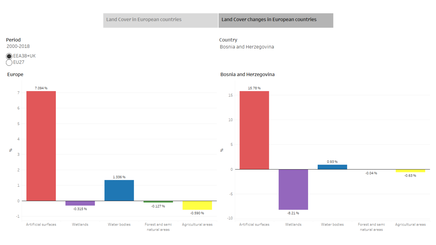#### Period

2000-2018



#### Country Bosnia and Herzegovina

#### Europe



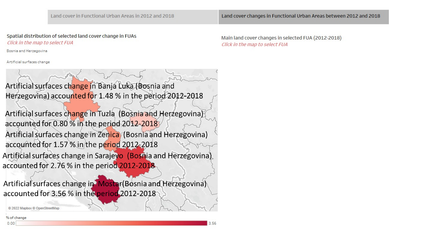#### Spatial distribution of selected land cover change in FUAs Click in the map to select FUA

Bosnia and Herzegovina

Artificial surfaces change



© 2022 Mapbox © OpenStreetMap

#### % of change

Main land cover changes in selected FUA (2012-2018) Click in the map to select FUA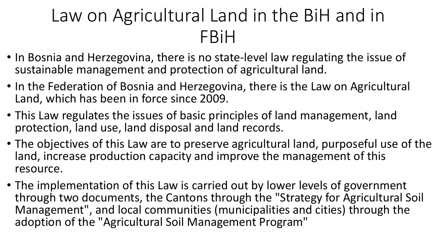## Law on Agricultural Land in the BiH and in FBiH

- In Bosnia and Herzegovina, there is no state-level law regulating the issue of sustainable management and protection of agricultural land.
- In the Federation of Bosnia and Herzegovina, there is the Law on Agricultural Land, which has been in force since 2009.
- This Law regulates the issues of basic principles of land management, land protection, land use, land disposal and land records.
- The objectives of this Law are to preserve agricultural land, purposeful use of the land, increase production capacity and improve the management of this resource.
- The implementation of this Law is carried out by lower levels of government through two documents, the Cantons through the "Strategy for Agricultural Soil Management", and local communities (municipalities and cities) through the adoption of the "Agricultural Soil Management Program"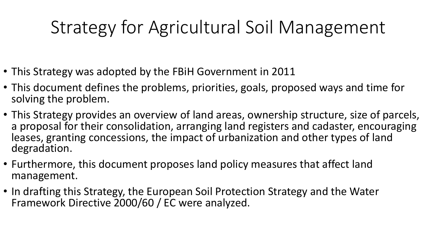# Strategy for Agricultural Soil Management

- This Strategy was adopted by the FBiH Government in 2011
- This document defines the problems, priorities, goals, proposed ways and time for solving the problem.
- This Strategy provides an overview of land areas, ownership structure, size of parcels, a proposal for their consolidation, arranging land registers and cadaster, encouraging leases, granting concessions, the impact of urbanization and other types of land degradation.
- Furthermore, this document proposes land policy measures that affect land management.
- In drafting this Strategy, the European Soil Protection Strategy and the Water Framework Directive 2000/60 / EC were analyzed.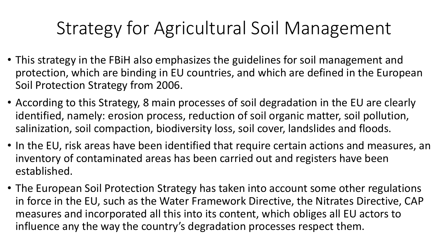## Strategy for Agricultural Soil Management

- This strategy in the FBiH also emphasizes the guidelines for soil management and protection, which are binding in EU countries, and which are defined in the European Soil Protection Strategy from 2006.
- According to this Strategy, 8 main processes of soil degradation in the EU are clearly identified, namely: erosion process, reduction of soil organic matter, soil pollution, salinization, soil compaction, biodiversity loss, soil cover, landslides and floods.
- In the EU, risk areas have been identified that require certain actions and measures, an inventory of contaminated areas has been carried out and registers have been established.
- The European Soil Protection Strategy has taken into account some other regulations in force in the EU, such as the Water Framework Directive, the Nitrates Directive, CAP measures and incorporated all this into its content, which obliges all EU actors to influence any the way the country's degradation processes respect them.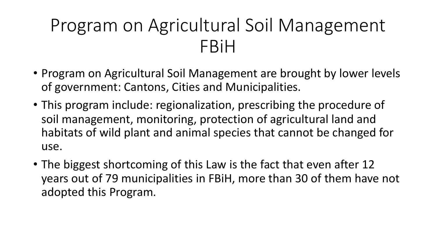### Program on Agricultural Soil Management FBiH

- Program on Agricultural Soil Management are brought by lower levels of government: Cantons, Cities and Municipalities.
- This program include: regionalization, prescribing the procedure of soil management, monitoring, protection of agricultural land and habitats of wild plant and animal species that cannot be changed for use.
- The biggest shortcoming of this Law is the fact that even after 12 years out of 79 municipalities in FBiH, more than 30 of them have not adopted this Program.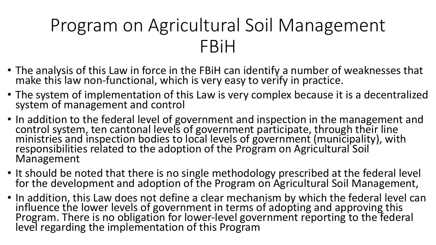## Program on Agricultural Soil Management FBiH

- The analysis of this Law in force in the FBiH can identify a number of weaknesses that make this law non-functional, which is very easy to verify in practice.
- The system of implementation of this Law is very complex because it is a decentralized system of management and control
- In addition to the federal level of government and inspection in the management and control system, ten cantonal levels of government participate, through their line ministries and inspection bodies to local levels of government (municipality), with responsibilities related to the adoption of the Program on Agricultural Soil Management
- It should be noted that there is no single methodology prescribed at the federal level for the development and adoption of the Program on Agricultural Soil Management,
- In addition, this Law does not define a clear mechanism by which the federal level can influence the lower levels of government in terms of adopting and approving this Program. There is no obligation for lower-level government reporting to the federal level regarding the implementation of this Program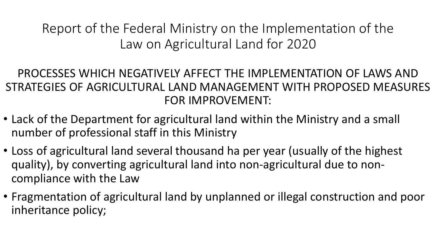Report of the Federal Ministry on the Implementation of the Law on Agricultural Land for 2020

#### PROCESSES WHICH NEGATIVELY AFFECT THE IMPLEMENTATION OF LAWS AND STRATEGIES OF AGRICULTURAL LAND MANAGEMENT WITH PROPOSED MEASURES FOR IMPROVEMENT:

- Lack of the Department for agricultural land within the Ministry and a small number of professional staff in this Ministry
- Loss of agricultural land several thousand ha per year (usually of the highest quality), by converting agricultural land into non-agricultural due to noncompliance with the Law
- Fragmentation of agricultural land by unplanned or illegal construction and poor inheritance policy;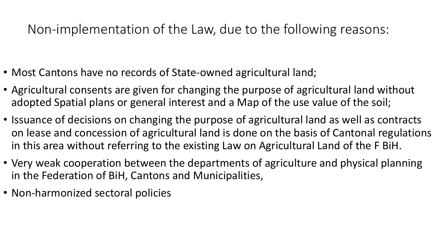#### Non-implementation of the Law, due to the following reasons:

- Most Cantons have no records of State-owned agricultural land;
- Agricultural consents are given for changing the purpose of agricultural land without adopted Spatial plans or general interest and a Map of the use value of the soil;
- Issuance of decisions on changing the purpose of agricultural land as well as contracts on lease and concession of agricultural land is done on the basis of Cantonal regulations in this area without referring to the existing Law on Agricultural Land of the F BiH.
- Very weak cooperation between the departments of agriculture and physical planning in the Federation of BiH, Cantons and Municipalities,
- Non-harmonized sectoral policies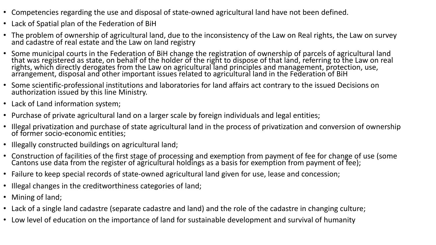- Competencies regarding the use and disposal of state-owned agricultural land have not been defined.
- Lack of Spatial plan of the Federation of BiH
- The problem of ownership of agricultural land, due to the inconsistency of the Law on Real rights, the Law on survey and cadastre of real estate and the Law on land registry
- Some municipal courts in the Federation of BiH change the registration of ownership of parcels of agricultural land that was registered as state, on behalf of the holder of the right to dispose of that land, referring to the Law on real rights, which directly derogates from the Law on agricultural land principles and management, protection, use, arrangement, disposal and other important issues related to agricultural land in the Federation of BiH
- Some scientific-professional institutions and laboratories for land affairs act contrary to the issued Decisions on authorization issued by this line Ministry.
- Lack of Land information system;
- Purchase of private agricultural land on a larger scale by foreign individuals and legal entities;
- Illegal privatization and purchase of state agricultural land in the process of privatization and conversion of ownership of former socio-economic entities;
- Illegally constructed buildings on agricultural land;
- Construction of facilities of the first stage of processing and exemption from payment of fee for change of use (some Cantons use data from the register of agricultural holdings as a basis for exemption from payment of fee);
- Failure to keep special records of state-owned agricultural land given for use, lease and concession;
- Illegal changes in the creditworthiness categories of land;
- Mining of land;
- Lack of a single land cadastre (separate cadastre and land) and the role of the cadastre in changing culture;
- Low level of education on the importance of land for sustainable development and survival of humanity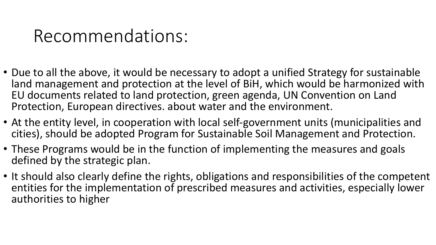### Recommendations:

- Due to all the above, it would be necessary to adopt a unified Strategy for sustainable land management and protection at the level of BiH, which would be harmonized with EU documents related to land protection, green agenda, UN Convention on Land Protection, European directives. about water and the environment.
- At the entity level, in cooperation with local self-government units (municipalities and cities), should be adopted Program for Sustainable Soil Management and Protection.
- These Programs would be in the function of implementing the measures and goals defined by the strategic plan.
- It should also clearly define the rights, obligations and responsibilities of the competent entities for the implementation of prescribed measures and activities, especially lower authorities to higher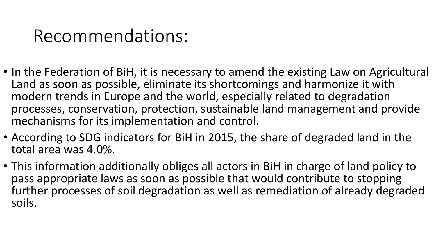### Recommendations:

- In the Federation of BiH, it is necessary to amend the existing Law on Agricultural Land as soon as possible, eliminate its shortcomings and harmonize it with modern trends in Europe and the world, especially related to degradation processes, conservation, protection, sustainable land management and provide mechanisms for its implementation and control.
- According to SDG indicators for BiH in 2015, the share of degraded land in the total area was 4.0%.
- This information additionally obliges all actors in BiH in charge of land policy to pass appropriate laws as soon as possible that would contribute to stopping further processes of soil degradation as well as remediation of already degraded soils.